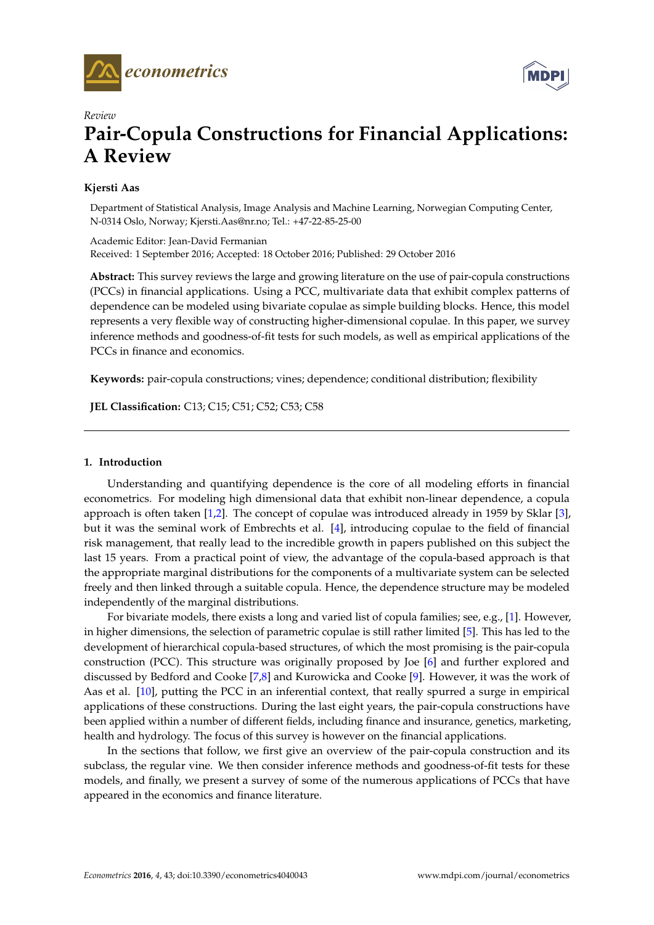



# *Review* **Pair-Copula Constructions for Financial Applications: A Review**

# **Kjersti Aas**

Department of Statistical Analysis, Image Analysis and Machine Learning, Norwegian Computing Center, N-0314 Oslo, Norway; Kjersti.Aas@nr.no; Tel.: +47-22-85-25-00

Academic Editor: Jean-David Fermanian Received: 1 September 2016; Accepted: 18 October 2016; Published: 29 October 2016

**Abstract:** This survey reviews the large and growing literature on the use of pair-copula constructions (PCCs) in financial applications. Using a PCC, multivariate data that exhibit complex patterns of dependence can be modeled using bivariate copulae as simple building blocks. Hence, this model represents a very flexible way of constructing higher-dimensional copulae. In this paper, we survey inference methods and goodness-of-fit tests for such models, as well as empirical applications of the PCCs in finance and economics.

**Keywords:** pair-copula constructions; vines; dependence; conditional distribution; flexibility

**JEL Classification:** C13; C15; C51; C52; C53; C58

## **1. Introduction**

Understanding and quantifying dependence is the core of all modeling efforts in financial econometrics. For modeling high dimensional data that exhibit non-linear dependence, a copula approach is often taken [\[1,](#page-10-0)[2\]](#page-10-1). The concept of copulae was introduced already in 1959 by Sklar [\[3\]](#page-10-2), but it was the seminal work of Embrechts et al. [\[4\]](#page-10-3), introducing copulae to the field of financial risk management, that really lead to the incredible growth in papers published on this subject the last 15 years. From a practical point of view, the advantage of the copula-based approach is that the appropriate marginal distributions for the components of a multivariate system can be selected freely and then linked through a suitable copula. Hence, the dependence structure may be modeled independently of the marginal distributions.

For bivariate models, there exists a long and varied list of copula families; see, e.g., [\[1\]](#page-10-0). However, in higher dimensions, the selection of parametric copulae is still rather limited [\[5\]](#page-10-4). This has led to the development of hierarchical copula-based structures, of which the most promising is the pair-copula construction (PCC). This structure was originally proposed by Joe [\[6\]](#page-10-5) and further explored and discussed by Bedford and Cooke [\[7,](#page-10-6)[8\]](#page-10-7) and Kurowicka and Cooke [\[9\]](#page-10-8). However, it was the work of Aas et al. [\[10\]](#page-10-9), putting the PCC in an inferential context, that really spurred a surge in empirical applications of these constructions. During the last eight years, the pair-copula constructions have been applied within a number of different fields, including finance and insurance, genetics, marketing, health and hydrology. The focus of this survey is however on the financial applications.

In the sections that follow, we first give an overview of the pair-copula construction and its subclass, the regular vine. We then consider inference methods and goodness-of-fit tests for these models, and finally, we present a survey of some of the numerous applications of PCCs that have appeared in the economics and finance literature.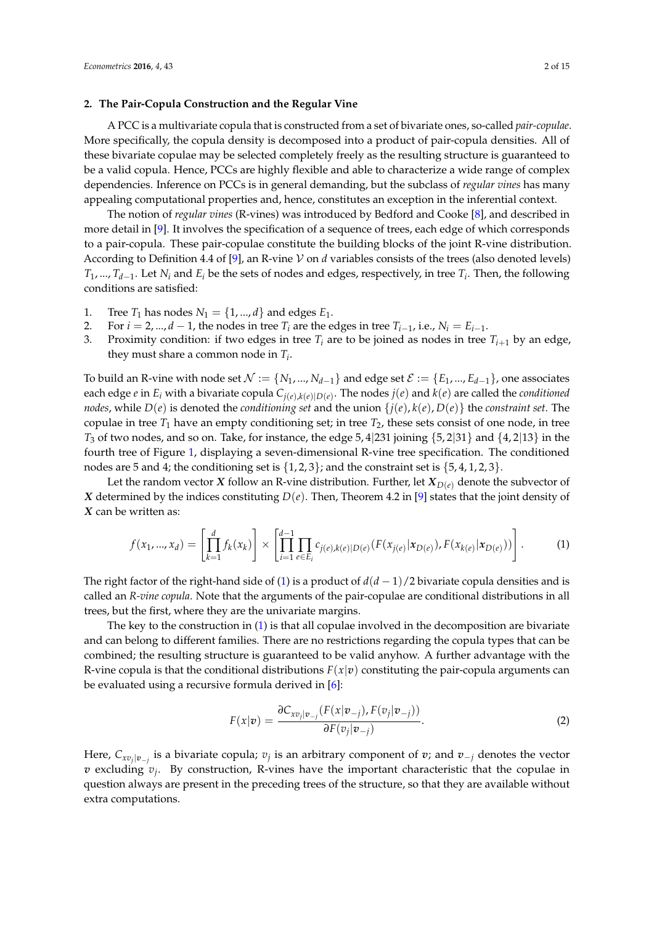## **2. The Pair-Copula Construction and the Regular Vine**

A PCC is a multivariate copula that is constructed from a set of bivariate ones, so-called *pair-copulae*. More specifically, the copula density is decomposed into a product of pair-copula densities. All of these bivariate copulae may be selected completely freely as the resulting structure is guaranteed to be a valid copula. Hence, PCCs are highly flexible and able to characterize a wide range of complex dependencies. Inference on PCCs is in general demanding, but the subclass of *regular vines* has many appealing computational properties and, hence, constitutes an exception in the inferential context.

The notion of *regular vines* (R-vines) was introduced by Bedford and Cooke [\[8\]](#page-10-7), and described in more detail in [\[9\]](#page-10-8). It involves the specification of a sequence of trees, each edge of which corresponds to a pair-copula. These pair-copulae constitute the building blocks of the joint R-vine distribution. According to Definition 4.4 of [\[9\]](#page-10-8), an R-vine  $V$  on *d* variables consists of the trees (also denoted levels) *T*1, ..., *Td*−<sup>1</sup> . Let *N<sup>i</sup>* and *E<sup>i</sup>* be the sets of nodes and edges, respectively, in tree *T<sup>i</sup>* . Then, the following conditions are satisfied:

- 1. Tree  $T_1$  has nodes  $N_1 = \{1, ..., d\}$  and edges  $E_1$ .<br>2. For  $i = 2, ..., d 1$ , the nodes in tree  $T_i$  are the e
- 2. For  $i = 2, ..., d 1$ , the nodes in tree  $T_i$  are the edges in tree  $T_{i-1}$ , i.e.,  $N_i = E_{i-1}$ .
- 3. Proximity condition: if two edges in tree  $T_i$  are to be joined as nodes in tree  $T_{i+1}$  by an edge, they must share a common node in *T<sup>i</sup>* .

To build an R-vine with node set  $\mathcal{N} := \{N_1, ..., N_{d-1}\}\$  and edge set  $\mathcal{E} := \{E_1, ..., E_{d-1}\}\$ , one associates each edge *e* in *E*<sub>*i*</sub> with a bivariate copula  $C_{j(e),k(e)|D(e)}$ . The nodes  $j(e)$  and  $k(e)$  are called the *conditioned nodes*, while *D*(*e*) is denoted the *conditioning set* and the union {*j*(*e*), *k*(*e*), *D*(*e*)} the *constraint set*. The copulae in tree  $T_1$  have an empty conditioning set; in tree  $T_2$ , these sets consist of one node, in tree  $T_3$  of two nodes, and so on. Take, for instance, the edge 5, 4|231 joining  $\{5, 2|31\}$  and  $\{4, 2|13\}$  in the fourth tree of Figure [1,](#page-2-0) displaying a seven-dimensional R-vine tree specification. The conditioned nodes are 5 and 4; the conditioning set is  $\{1, 2, 3\}$ ; and the constraint set is  $\{5, 4, 1, 2, 3\}$ .

Let the random vector *X* follow an R-vine distribution. Further, let  $X_{D(e)}$  denote the subvector of *X* determined by the indices constituting *D*(*e*). Then, Theorem 4.2 in [\[9\]](#page-10-8) states that the joint density of *X* can be written as:

<span id="page-1-0"></span>
$$
f(x_1,...,x_d) = \left[\prod_{k=1}^d f_k(x_k)\right] \times \left[\prod_{i=1}^{d-1} \prod_{e \in E_i} c_{j(e),k(e)|D(e)}(F(x_{j(e)}|x_{D(e)}), F(x_{k(e)}|x_{D(e)}))\right].
$$
 (1)

The right factor of the right-hand side of [\(1\)](#page-1-0) is a product of *d*(*d* − 1)/2 bivariate copula densities and is called an *R-vine copula*. Note that the arguments of the pair-copulae are conditional distributions in all trees, but the first, where they are the univariate margins.

The key to the construction in [\(1\)](#page-1-0) is that all copulae involved in the decomposition are bivariate and can belong to different families. There are no restrictions regarding the copula types that can be combined; the resulting structure is guaranteed to be valid anyhow. A further advantage with the R-vine copula is that the conditional distributions  $F(x|v)$  constituting the pair-copula arguments can be evaluated using a recursive formula derived in [\[6\]](#page-10-5):

$$
F(x|\boldsymbol{v}) = \frac{\partial C_{xv_j|\boldsymbol{v}_{-j}}(F(x|\boldsymbol{v}_{-j}), F(v_j|\boldsymbol{v}_{-j}))}{\partial F(v_j|\boldsymbol{v}_{-j})}.
$$
\n(2)

Here,  $C_{xv_j|v_{-j}}$  is a bivariate copula;  $v_j$  is an arbitrary component of *v*; and  $v_{-j}$  denotes the vector *v* excluding *v<sup>j</sup>* . By construction, R-vines have the important characteristic that the copulae in question always are present in the preceding trees of the structure, so that they are available without extra computations.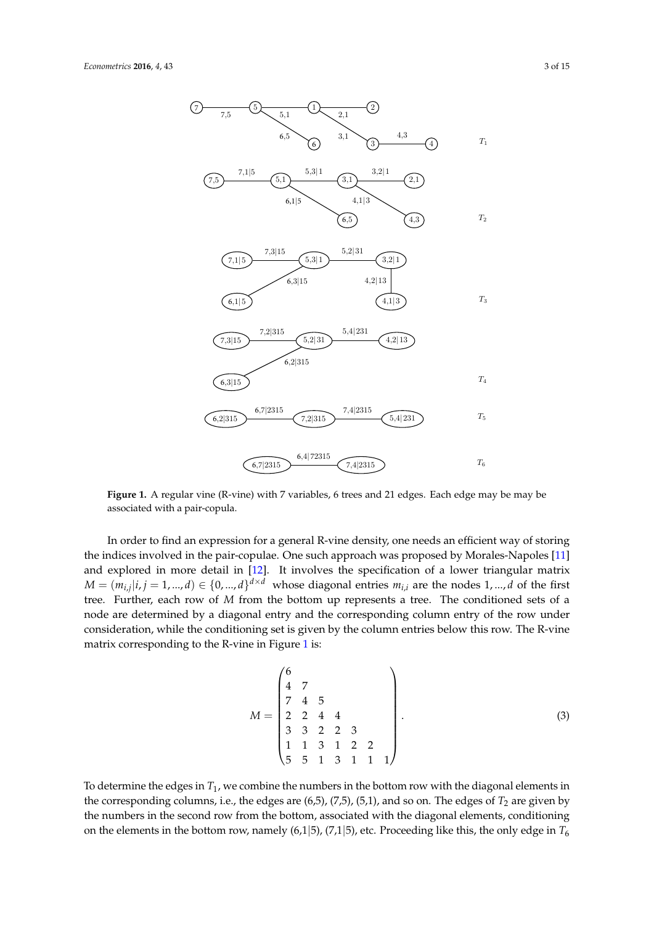<span id="page-2-0"></span>

**Figure 1.** A regular vine (R-vine) with 7 variables, 6 trees and 21 edges. Each edge may be may be associated with a pair-copula.

In order to find an expression for a general R-vine density, one needs an efficient way of storing the indices involved in the pair-copulae. One such approach was proposed by Morales-Napoles [\[11\]](#page-10-10) and explored in more detail in [\[12\]](#page-10-11). It involves the specification of a lower triangular matrix  $M = (m_{i,j} | i, j = 1, ..., d) \in \{0, ..., d\}^{d \times d}$  whose diagonal entries  $m_{i,i}$  are the nodes 1, ..., *d* of the first tree. Further, each row of *M* from the bottom up represents a tree. The conditioned sets of a node are determined by a diagonal entry and the corresponding column entry of the row under consideration, while the conditioning set is given by the column entries below this row. The R-vine matrix corresponding to the R-vine in Figure [1](#page-2-0) is:

$$
M = \begin{pmatrix} 6 & & & & \\ 4 & 7 & & & & \\ 7 & 4 & 5 & & & \\ 2 & 2 & 4 & 4 & & & \\ 3 & 3 & 2 & 2 & 3 & & \\ 1 & 1 & 3 & 1 & 2 & 2 & \\ 5 & 5 & 1 & 3 & 1 & 1 & 1 \end{pmatrix} .
$$
 (3)

To determine the edges in *T*1, we combine the numbers in the bottom row with the diagonal elements in the corresponding columns, i.e., the edges are  $(6,5)$ ,  $(7,5)$ ,  $(5,1)$ , and so on. The edges of  $T_2$  are given by the numbers in the second row from the bottom, associated with the diagonal elements, conditioning on the elements in the bottom row, namely  $(6,1|5)$ ,  $(7,1|5)$ , etc. Proceeding like this, the only edge in  $T_6$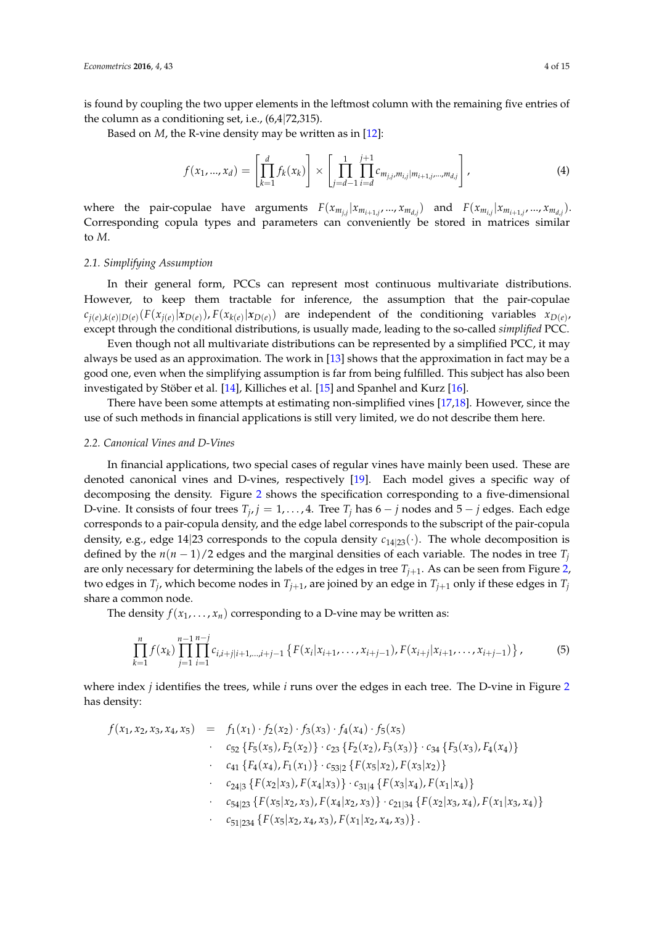is found by coupling the two upper elements in the leftmost column with the remaining five entries of the column as a conditioning set, i.e., (6,4|72,315).

Based on *M*, the R-vine density may be written as in [\[12\]](#page-10-11):

$$
f(x_1, ..., x_d) = \left[\prod_{k=1}^d f_k(x_k)\right] \times \left[\prod_{j=d-1}^1 \prod_{i=d}^{j+1} c_{m_{j,j}, m_{i,j} | m_{i+1,j}, ..., m_{d,j}}\right],
$$
(4)

where the pair-copulae have arguments  $F(x_{m_{j,j}}|x_{m_{i+1,j}},...,x_{m_{d,j}})$  and  $F(x_{m_{i,j}}|x_{m_{i+1,j}},...,x_{m_{d,j}})$ . Corresponding copula types and parameters can conveniently be stored in matrices similar to *M*.

#### *2.1. Simplifying Assumption*

In their general form, PCCs can represent most continuous multivariate distributions. However, to keep them tractable for inference, the assumption that the pair-copulae  $c_{j(e),k(e)|D(e)}(F(x_{j(e)}|x_{D(e)}),F(x_{k(e)}|x_{D(e)})$  are independent of the conditioning variables  $x_{D(e)}$ , except through the conditional distributions, is usually made, leading to the so-called *simplified* PCC.

Even though not all multivariate distributions can be represented by a simplified PCC, it may always be used as an approximation. The work in [\[13\]](#page-10-12) shows that the approximation in fact may be a good one, even when the simplifying assumption is far from being fulfilled. This subject has also been investigated by Stöber et al. [\[14\]](#page-10-13), Killiches et al. [\[15\]](#page-11-0) and Spanhel and Kurz [\[16\]](#page-11-1).

There have been some attempts at estimating non-simplified vines [\[17](#page-11-2)[,18\]](#page-11-3). However, since the use of such methods in financial applications is still very limited, we do not describe them here.

## *2.2. Canonical Vines and D-Vines*

In financial applications, two special cases of regular vines have mainly been used. These are denoted canonical vines and D-vines, respectively [\[19\]](#page-11-4). Each model gives a specific way of decomposing the density. Figure [2](#page-4-0) shows the specification corresponding to a five-dimensional D-vine. It consists of four trees  $T_j$ , *j* = 1, . . . , 4. Tree  $T_j$  has 6 − *j* nodes and 5 − *j* edges. Each edge corresponds to a pair-copula density, and the edge label corresponds to the subscript of the pair-copula density, e.g., edge 14|23 corresponds to the copula density  $c_{14|23}(\cdot)$ . The whole decomposition is defined by the  $n(n-1)/2$  edges and the marginal densities of each variable. The nodes in tree  $T_i$ are only necessary for determining the labels of the edges in tree  $T_{j+1}$ . As can be seen from Figure [2,](#page-4-0) two edges in  $T_j$ , which become nodes in  $T_{j+1}$ , are joined by an edge in  $T_{j+1}$  only if these edges in  $T_j$ share a common node.

The density  $f(x_1, \ldots, x_n)$  corresponding to a D-vine may be written as:

$$
\prod_{k=1}^{n} f(x_k) \prod_{j=1}^{n-1} \prod_{i=1}^{n-j} c_{i,i+j|i+1,\dots,i+j-1} \left\{ F(x_i | x_{i+1}, \dots, x_{i+j-1}), F(x_{i+j} | x_{i+1}, \dots, x_{i+j-1}) \right\},\tag{5}
$$

where index *j* identifies the trees, while *i* runs over the edges in each tree. The D-vine in Figure [2](#page-4-0) has density:

$$
f(x_1, x_2, x_3, x_4, x_5) = f_1(x_1) \cdot f_2(x_2) \cdot f_3(x_3) \cdot f_4(x_4) \cdot f_5(x_5)
$$
  
\n
$$
\cdot \quad c_{52} \{F_5(x_5), F_2(x_2)\} \cdot c_{23} \{F_2(x_2), F_3(x_3)\} \cdot c_{34} \{F_3(x_3), F_4(x_4)\}
$$
  
\n
$$
\cdot \quad c_{41} \{F_4(x_4), F_1(x_1)\} \cdot c_{53|2} \{F(x_5|x_2), F(x_3|x_2)\}
$$
  
\n
$$
\cdot \quad c_{24|3} \{F(x_2|x_3), F(x_4|x_3)\} \cdot c_{31|4} \{F(x_3|x_4), F(x_1|x_4)\}
$$
  
\n
$$
\cdot \quad c_{54|23} \{F(x_5|x_2, x_3), F(x_4|x_2, x_3)\} \cdot c_{21|34} \{F(x_2|x_3, x_4), F(x_1|x_3, x_4)\}
$$
  
\n
$$
\cdot \quad c_{51|234} \{F(x_5|x_2, x_4, x_3), F(x_1|x_2, x_4, x_3)\}.
$$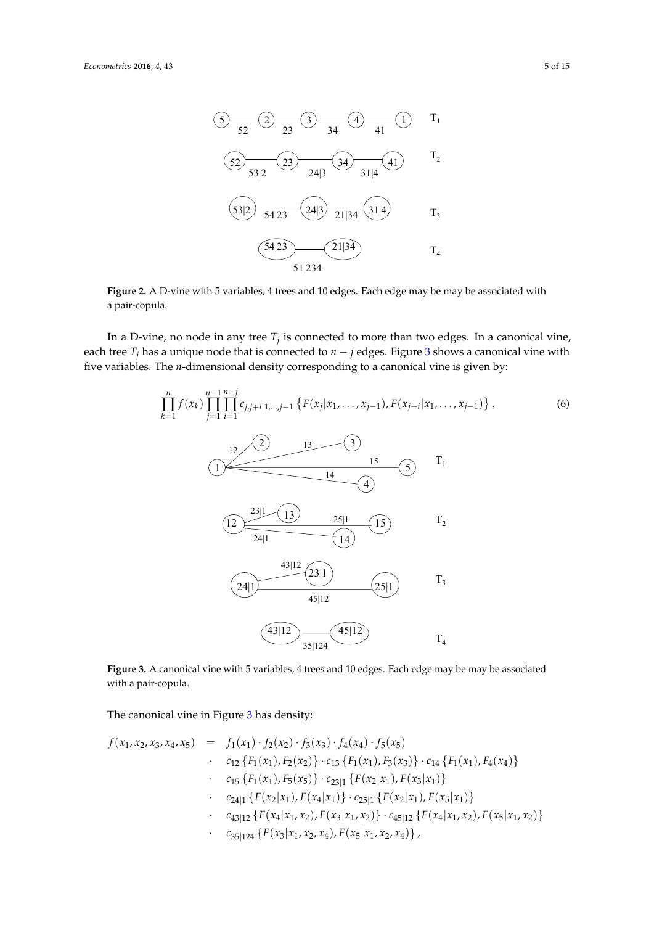<span id="page-4-0"></span>

**Figure 2.** A D-vine with 5 variables, 4 trees and 10 edges. Each edge may be may be associated with a pair-copula.

In a D-vine, no node in any tree  $T_j$  is connected to more than two edges. In a canonical vine, each tree  $T_j$  has a unique node that is connected to  $n - j$  edges. Figure [3](#page-4-1) shows a canonical vine with five variables. The *n*-dimensional density corresponding to a canonical vine is given by:

<span id="page-4-1"></span>
$$
\prod_{k=1}^{n} f(x_k) \prod_{j=1}^{n-1} \prod_{i=1}^{n-j} c_{j,j+i|1,\dots,j-1} \left\{ F(x_j|x_1,\dots,x_{j-1}), F(x_{j+i}|x_1,\dots,x_{j-1}) \right\}.
$$
\n(6)  
\n12 13 3  
\n15 5 1  
\n14 4  
\n4  
\n4  
\n5 1  
\n16  
\n17  
\n23|1 13 25|1 15 12  
\n24|1 23|1  
\n25|1 15 13  
\n43|12 23|1  
\n45|12 1  
\n45|12 1  
\n45|12 1  
\n45|12 1  
\n45|12 1  
\n45|12 1  
\n45|13

**Figure 3.** A canonical vine with 5 variables, 4 trees and 10 edges. Each edge may be may be associated with a pair-copula.

The canonical vine in Figure [3](#page-4-1) has density:

$$
f(x_1, x_2, x_3, x_4, x_5) = f_1(x_1) \cdot f_2(x_2) \cdot f_3(x_3) \cdot f_4(x_4) \cdot f_5(x_5)
$$
  
\n
$$
\cdot c_{12} \{F_1(x_1), F_2(x_2)\} \cdot c_{13} \{F_1(x_1), F_3(x_3)\} \cdot c_{14} \{F_1(x_1), F_4(x_4)\}
$$
  
\n
$$
\cdot c_{15} \{F_1(x_1), F_5(x_5)\} \cdot c_{23|1} \{F(x_2|x_1), F(x_3|x_1)\}
$$
  
\n
$$
\cdot c_{24|1} \{F(x_2|x_1), F(x_4|x_1)\} \cdot c_{25|1} \{F(x_2|x_1), F(x_5|x_1)\}
$$
  
\n
$$
\cdot c_{43|12} \{F(x_4|x_1, x_2), F(x_3|x_1, x_2)\} \cdot c_{45|12} \{F(x_4|x_1, x_2), F(x_5|x_1, x_2)\}
$$
  
\n
$$
\cdot c_{35|124} \{F(x_3|x_1, x_2, x_4), F(x_5|x_1, x_2, x_4)\},
$$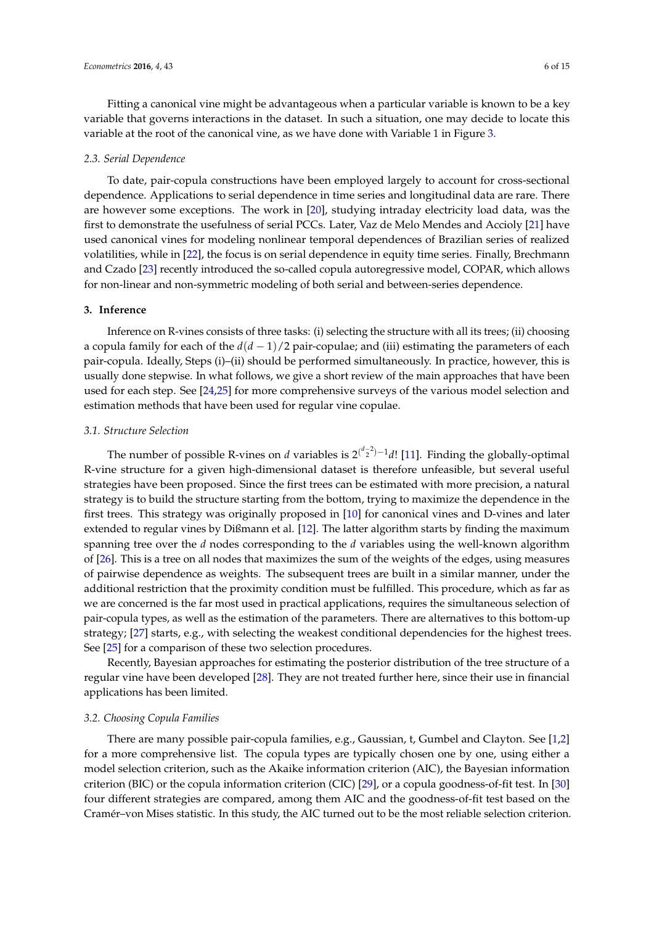Fitting a canonical vine might be advantageous when a particular variable is known to be a key variable that governs interactions in the dataset. In such a situation, one may decide to locate this variable at the root of the canonical vine, as we have done with Variable 1 in Figure [3.](#page-4-1)

#### *2.3. Serial Dependence*

To date, pair-copula constructions have been employed largely to account for cross-sectional dependence. Applications to serial dependence in time series and longitudinal data are rare. There are however some exceptions. The work in [\[20\]](#page-11-5), studying intraday electricity load data, was the first to demonstrate the usefulness of serial PCCs. Later, Vaz de Melo Mendes and Accioly [\[21\]](#page-11-6) have used canonical vines for modeling nonlinear temporal dependences of Brazilian series of realized volatilities, while in [\[22\]](#page-11-7), the focus is on serial dependence in equity time series. Finally, Brechmann and Czado [\[23\]](#page-11-8) recently introduced the so-called copula autoregressive model, COPAR, which allows for non-linear and non-symmetric modeling of both serial and between-series dependence.

## **3. Inference**

Inference on R-vines consists of three tasks: (i) selecting the structure with all its trees; (ii) choosing a copula family for each of the *d*(*d* − 1)/2 pair-copulae; and (iii) estimating the parameters of each pair-copula. Ideally, Steps (i)–(ii) should be performed simultaneously. In practice, however, this is usually done stepwise. In what follows, we give a short review of the main approaches that have been used for each step. See [\[24,](#page-11-9)[25\]](#page-11-10) for more comprehensive surveys of the various model selection and estimation methods that have been used for regular vine copulae.

#### <span id="page-5-0"></span>*3.1. Structure Selection*

The number of possible R-vines on *d* variables is  $2^{d-2 \choose 2}-1$  *d*! [\[11\]](#page-10-10). Finding the globally-optimal R-vine structure for a given high-dimensional dataset is therefore unfeasible, but several useful strategies have been proposed. Since the first trees can be estimated with more precision, a natural strategy is to build the structure starting from the bottom, trying to maximize the dependence in the first trees. This strategy was originally proposed in [\[10\]](#page-10-9) for canonical vines and D-vines and later extended to regular vines by Dißmann et al. [\[12\]](#page-10-11). The latter algorithm starts by finding the maximum spanning tree over the *d* nodes corresponding to the *d* variables using the well-known algorithm of [\[26\]](#page-11-11). This is a tree on all nodes that maximizes the sum of the weights of the edges, using measures of pairwise dependence as weights. The subsequent trees are built in a similar manner, under the additional restriction that the proximity condition must be fulfilled. This procedure, which as far as we are concerned is the far most used in practical applications, requires the simultaneous selection of pair-copula types, as well as the estimation of the parameters. There are alternatives to this bottom-up strategy; [\[27\]](#page-11-12) starts, e.g., with selecting the weakest conditional dependencies for the highest trees. See [\[25\]](#page-11-10) for a comparison of these two selection procedures.

Recently, Bayesian approaches for estimating the posterior distribution of the tree structure of a regular vine have been developed [\[28\]](#page-11-13). They are not treated further here, since their use in financial applications has been limited.

## *3.2. Choosing Copula Families*

There are many possible pair-copula families, e.g., Gaussian, t, Gumbel and Clayton. See [\[1](#page-10-0)[,2\]](#page-10-1) for a more comprehensive list. The copula types are typically chosen one by one, using either a model selection criterion, such as the Akaike information criterion (AIC), the Bayesian information criterion (BIC) or the copula information criterion (CIC) [\[29\]](#page-11-14), or a copula goodness-of-fit test. In [\[30\]](#page-11-15) four different strategies are compared, among them AIC and the goodness-of-fit test based on the Cramér–von Mises statistic. In this study, the AIC turned out to be the most reliable selection criterion.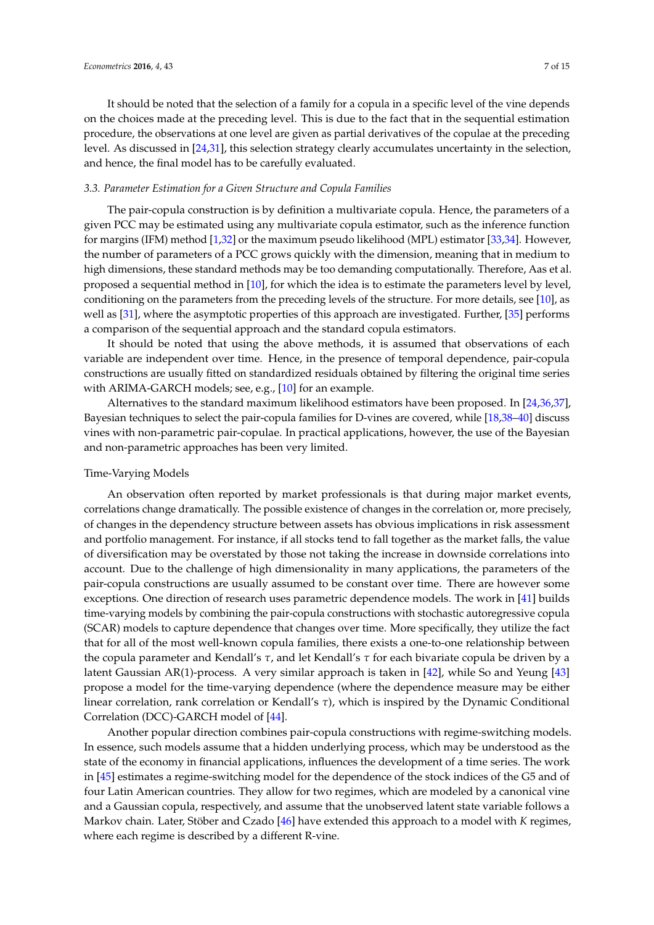It should be noted that the selection of a family for a copula in a specific level of the vine depends on the choices made at the preceding level. This is due to the fact that in the sequential estimation procedure, the observations at one level are given as partial derivatives of the copulae at the preceding level. As discussed in [\[24,](#page-11-9)[31\]](#page-11-16), this selection strategy clearly accumulates uncertainty in the selection, and hence, the final model has to be carefully evaluated.

## *3.3. Parameter Estimation for a Given Structure and Copula Families*

The pair-copula construction is by definition a multivariate copula. Hence, the parameters of a given PCC may be estimated using any multivariate copula estimator, such as the inference function for margins (IFM) method [\[1,](#page-10-0)[32\]](#page-11-17) or the maximum pseudo likelihood (MPL) estimator [\[33](#page-11-18)[,34\]](#page-11-19). However, the number of parameters of a PCC grows quickly with the dimension, meaning that in medium to high dimensions, these standard methods may be too demanding computationally. Therefore, Aas et al. proposed a sequential method in [\[10\]](#page-10-9), for which the idea is to estimate the parameters level by level, conditioning on the parameters from the preceding levels of the structure. For more details, see [\[10\]](#page-10-9), as well as [\[31\]](#page-11-16), where the asymptotic properties of this approach are investigated. Further, [\[35\]](#page-11-20) performs a comparison of the sequential approach and the standard copula estimators.

It should be noted that using the above methods, it is assumed that observations of each variable are independent over time. Hence, in the presence of temporal dependence, pair-copula constructions are usually fitted on standardized residuals obtained by filtering the original time series with ARIMA-GARCH models; see, e.g., [\[10\]](#page-10-9) for an example.

Alternatives to the standard maximum likelihood estimators have been proposed. In [\[24,](#page-11-9)[36,](#page-11-21)[37\]](#page-11-22), Bayesian techniques to select the pair-copula families for D-vines are covered, while [\[18](#page-11-3)[,38–](#page-11-23)[40\]](#page-11-24) discuss vines with non-parametric pair-copulae. In practical applications, however, the use of the Bayesian and non-parametric approaches has been very limited.

#### Time-Varying Models

An observation often reported by market professionals is that during major market events, correlations change dramatically. The possible existence of changes in the correlation or, more precisely, of changes in the dependency structure between assets has obvious implications in risk assessment and portfolio management. For instance, if all stocks tend to fall together as the market falls, the value of diversification may be overstated by those not taking the increase in downside correlations into account. Due to the challenge of high dimensionality in many applications, the parameters of the pair-copula constructions are usually assumed to be constant over time. There are however some exceptions. One direction of research uses parametric dependence models. The work in [\[41\]](#page-12-0) builds time-varying models by combining the pair-copula constructions with stochastic autoregressive copula (SCAR) models to capture dependence that changes over time. More specifically, they utilize the fact that for all of the most well-known copula families, there exists a one-to-one relationship between the copula parameter and Kendall's *τ*, and let Kendall's *τ* for each bivariate copula be driven by a latent Gaussian AR(1)-process. A very similar approach is taken in [\[42\]](#page-12-1), while So and Yeung [\[43\]](#page-12-2) propose a model for the time-varying dependence (where the dependence measure may be either linear correlation, rank correlation or Kendall's *τ*), which is inspired by the Dynamic Conditional Correlation (DCC)-GARCH model of [\[44\]](#page-12-3).

Another popular direction combines pair-copula constructions with regime-switching models. In essence, such models assume that a hidden underlying process, which may be understood as the state of the economy in financial applications, influences the development of a time series. The work in [\[45\]](#page-12-4) estimates a regime-switching model for the dependence of the stock indices of the G5 and of four Latin American countries. They allow for two regimes, which are modeled by a canonical vine and a Gaussian copula, respectively, and assume that the unobserved latent state variable follows a Markov chain. Later, Stöber and Czado [\[46\]](#page-12-5) have extended this approach to a model with *K* regimes, where each regime is described by a different R-vine.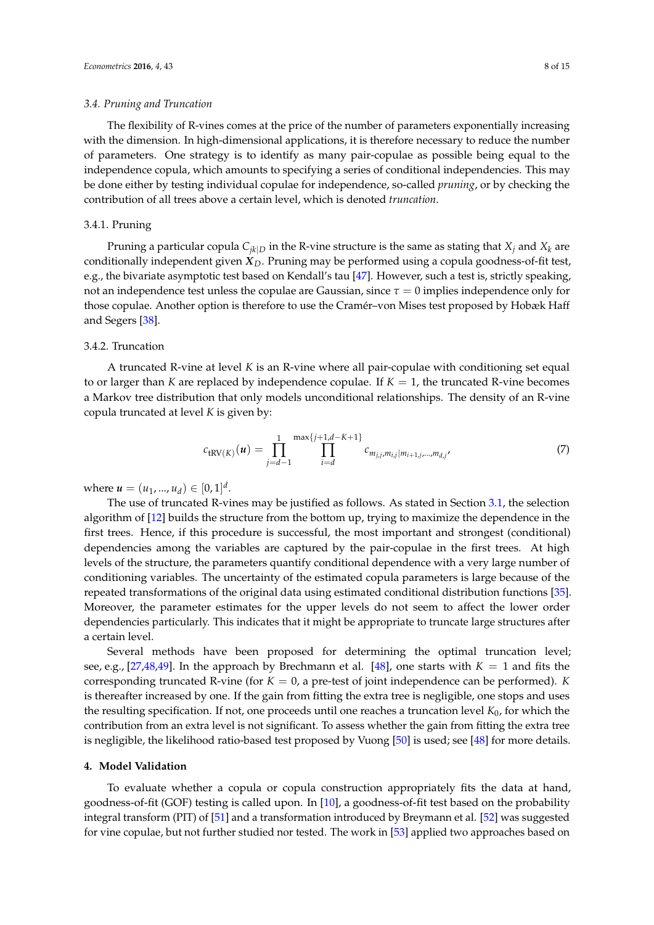The flexibility of R-vines comes at the price of the number of parameters exponentially increasing with the dimension. In high-dimensional applications, it is therefore necessary to reduce the number of parameters. One strategy is to identify as many pair-copulae as possible being equal to the independence copula, which amounts to specifying a series of conditional independencies. This may be done either by testing individual copulae for independence, so-called *pruning*, or by checking the contribution of all trees above a certain level, which is denoted *truncation*.

## 3.4.1. Pruning

Pruning a particular copula  $C_{ik|D}$  in the R-vine structure is the same as stating that  $X_i$  and  $X_k$  are conditionally independent given *XD*. Pruning may be performed using a copula goodness-of-fit test, e.g., the bivariate asymptotic test based on Kendall's tau [\[47\]](#page-12-6). However, such a test is, strictly speaking, not an independence test unless the copulae are Gaussian, since  $\tau = 0$  implies independence only for those copulae. Another option is therefore to use the Cramér–von Mises test proposed by Hobæk Haff and Segers [\[38\]](#page-11-23).

### 3.4.2. Truncation

A truncated R-vine at level *K* is an R-vine where all pair-copulae with conditioning set equal to or larger than *K* are replaced by independence copulae. If  $K = 1$ , the truncated R-vine becomes a Markov tree distribution that only models unconditional relationships. The density of an R-vine copula truncated at level *K* is given by:

$$
c_{\text{tRV}(K)}(u) = \prod_{j=d-1}^{1} \prod_{i=d}^{\max\{j+1,d-K+1\}} c_{m_{j,j},m_{i,j}|m_{i+1,j},\dots,m_{d,j'}}
$$
(7)

where  $u = (u_1, ..., u_d) \in [0, 1]^d$ .

The use of truncated R-vines may be justified as follows. As stated in Section [3.1,](#page-5-0) the selection algorithm of [\[12\]](#page-10-11) builds the structure from the bottom up, trying to maximize the dependence in the first trees. Hence, if this procedure is successful, the most important and strongest (conditional) dependencies among the variables are captured by the pair-copulae in the first trees. At high levels of the structure, the parameters quantify conditional dependence with a very large number of conditioning variables. The uncertainty of the estimated copula parameters is large because of the repeated transformations of the original data using estimated conditional distribution functions [\[35\]](#page-11-20). Moreover, the parameter estimates for the upper levels do not seem to affect the lower order dependencies particularly. This indicates that it might be appropriate to truncate large structures after a certain level.

Several methods have been proposed for determining the optimal truncation level; see, e.g.,  $[27,48,49]$  $[27,48,49]$  $[27,48,49]$ . In the approach by Brechmann et al.  $[48]$ , one starts with  $K = 1$  and fits the corresponding truncated R-vine (for *K* = 0, a pre-test of joint independence can be performed). *K* is thereafter increased by one. If the gain from fitting the extra tree is negligible, one stops and uses the resulting specification. If not, one proceeds until one reaches a truncation level *K*0, for which the contribution from an extra level is not significant. To assess whether the gain from fitting the extra tree is negligible, the likelihood ratio-based test proposed by Vuong [\[50\]](#page-12-9) is used; see [\[48\]](#page-12-7) for more details.

#### **4. Model Validation**

To evaluate whether a copula or copula construction appropriately fits the data at hand, goodness-of-fit (GOF) testing is called upon. In [\[10\]](#page-10-9), a goodness-of-fit test based on the probability integral transform (PIT) of [\[51\]](#page-12-10) and a transformation introduced by Breymann et al. [\[52\]](#page-12-11) was suggested for vine copulae, but not further studied nor tested. The work in [\[53\]](#page-12-12) applied two approaches based on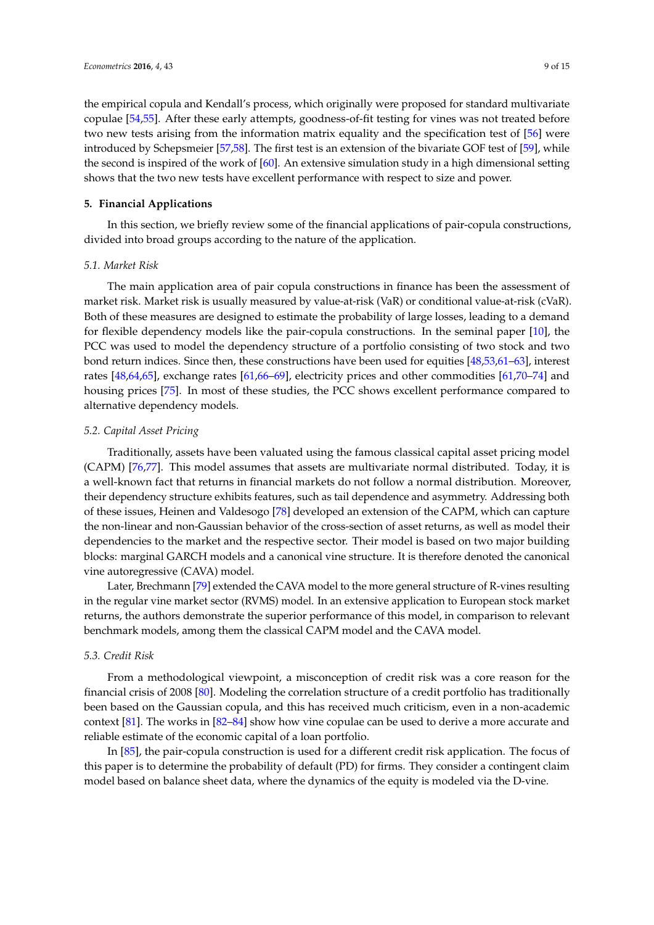the empirical copula and Kendall's process, which originally were proposed for standard multivariate copulae [\[54](#page-12-13)[,55\]](#page-12-14). After these early attempts, goodness-of-fit testing for vines was not treated before two new tests arising from the information matrix equality and the specification test of [\[56\]](#page-12-15) were introduced by Schepsmeier [\[57,](#page-12-16)[58\]](#page-12-17). The first test is an extension of the bivariate GOF test of [\[59\]](#page-12-18), while the second is inspired of the work of [\[60\]](#page-12-19). An extensive simulation study in a high dimensional setting shows that the two new tests have excellent performance with respect to size and power.

## **5. Financial Applications**

In this section, we briefly review some of the financial applications of pair-copula constructions, divided into broad groups according to the nature of the application.

#### *5.1. Market Risk*

The main application area of pair copula constructions in finance has been the assessment of market risk. Market risk is usually measured by value-at-risk (VaR) or conditional value-at-risk (cVaR). Both of these measures are designed to estimate the probability of large losses, leading to a demand for flexible dependency models like the pair-copula constructions. In the seminal paper [\[10\]](#page-10-9), the PCC was used to model the dependency structure of a portfolio consisting of two stock and two bond return indices. Since then, these constructions have been used for equities [\[48](#page-12-7)[,53](#page-12-12)[,61](#page-12-20)[–63\]](#page-12-21), interest rates [\[48,](#page-12-7)[64,](#page-12-22)[65\]](#page-12-23), exchange rates [\[61,](#page-12-20)[66–](#page-12-24)[69\]](#page-12-25), electricity prices and other commodities [\[61](#page-12-20)[,70–](#page-12-26)[74\]](#page-13-0) and housing prices [\[75\]](#page-13-1). In most of these studies, the PCC shows excellent performance compared to alternative dependency models.

## *5.2. Capital Asset Pricing*

Traditionally, assets have been valuated using the famous classical capital asset pricing model (CAPM) [\[76](#page-13-2)[,77\]](#page-13-3). This model assumes that assets are multivariate normal distributed. Today, it is a well-known fact that returns in financial markets do not follow a normal distribution. Moreover, their dependency structure exhibits features, such as tail dependence and asymmetry. Addressing both of these issues, Heinen and Valdesogo [\[78\]](#page-13-4) developed an extension of the CAPM, which can capture the non-linear and non-Gaussian behavior of the cross-section of asset returns, as well as model their dependencies to the market and the respective sector. Their model is based on two major building blocks: marginal GARCH models and a canonical vine structure. It is therefore denoted the canonical vine autoregressive (CAVA) model.

Later, Brechmann [\[79\]](#page-13-5) extended the CAVA model to the more general structure of R-vines resulting in the regular vine market sector (RVMS) model. In an extensive application to European stock market returns, the authors demonstrate the superior performance of this model, in comparison to relevant benchmark models, among them the classical CAPM model and the CAVA model.

#### *5.3. Credit Risk*

From a methodological viewpoint, a misconception of credit risk was a core reason for the financial crisis of 2008 [\[80\]](#page-13-6). Modeling the correlation structure of a credit portfolio has traditionally been based on the Gaussian copula, and this has received much criticism, even in a non-academic context [\[81\]](#page-13-7). The works in [\[82–](#page-13-8)[84\]](#page-13-9) show how vine copulae can be used to derive a more accurate and reliable estimate of the economic capital of a loan portfolio.

In [\[85\]](#page-13-10), the pair-copula construction is used for a different credit risk application. The focus of this paper is to determine the probability of default (PD) for firms. They consider a contingent claim model based on balance sheet data, where the dynamics of the equity is modeled via the D-vine.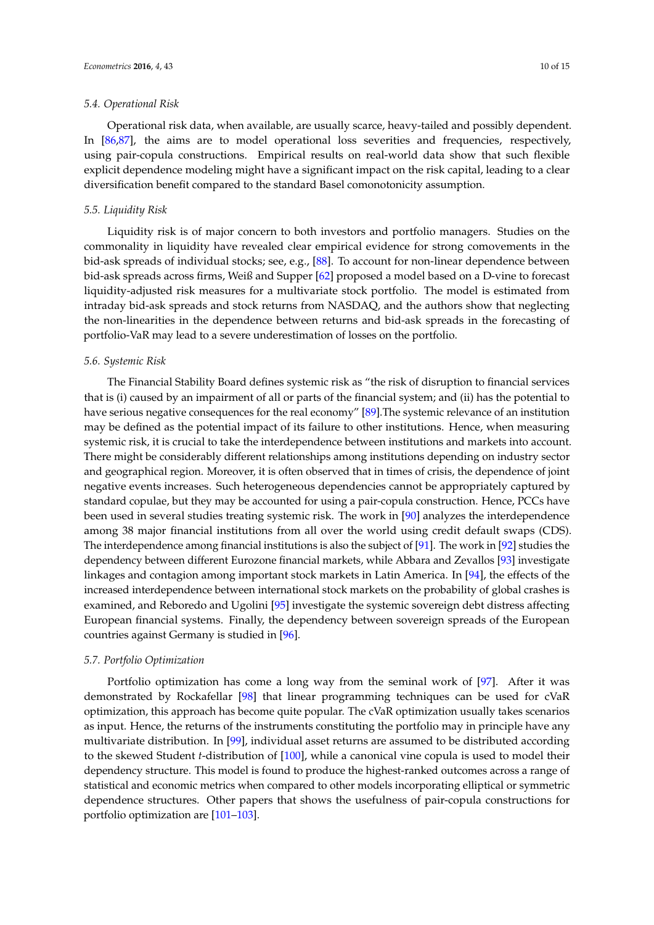#### *5.4. Operational Risk*

Operational risk data, when available, are usually scarce, heavy-tailed and possibly dependent. In [\[86,](#page-13-11)[87\]](#page-13-12), the aims are to model operational loss severities and frequencies, respectively, using pair-copula constructions. Empirical results on real-world data show that such flexible explicit dependence modeling might have a significant impact on the risk capital, leading to a clear diversification benefit compared to the standard Basel comonotonicity assumption.

## *5.5. Liquidity Risk*

Liquidity risk is of major concern to both investors and portfolio managers. Studies on the commonality in liquidity have revealed clear empirical evidence for strong comovements in the bid-ask spreads of individual stocks; see, e.g., [\[88\]](#page-13-13). To account for non-linear dependence between bid-ask spreads across firms, Weiß and Supper [\[62\]](#page-12-27) proposed a model based on a D-vine to forecast liquidity-adjusted risk measures for a multivariate stock portfolio. The model is estimated from intraday bid-ask spreads and stock returns from NASDAQ, and the authors show that neglecting the non-linearities in the dependence between returns and bid-ask spreads in the forecasting of portfolio-VaR may lead to a severe underestimation of losses on the portfolio.

## *5.6. Systemic Risk*

The Financial Stability Board defines systemic risk as "the risk of disruption to financial services that is (i) caused by an impairment of all or parts of the financial system; and (ii) has the potential to have serious negative consequences for the real economy" [\[89\]](#page-13-14).The systemic relevance of an institution may be defined as the potential impact of its failure to other institutions. Hence, when measuring systemic risk, it is crucial to take the interdependence between institutions and markets into account. There might be considerably different relationships among institutions depending on industry sector and geographical region. Moreover, it is often observed that in times of crisis, the dependence of joint negative events increases. Such heterogeneous dependencies cannot be appropriately captured by standard copulae, but they may be accounted for using a pair-copula construction. Hence, PCCs have been used in several studies treating systemic risk. The work in [\[90\]](#page-13-15) analyzes the interdependence among 38 major financial institutions from all over the world using credit default swaps (CDS). The interdependence among financial institutions is also the subject of [\[91\]](#page-13-16). The work in [\[92\]](#page-13-17) studies the dependency between different Eurozone financial markets, while Abbara and Zevallos [\[93\]](#page-13-18) investigate linkages and contagion among important stock markets in Latin America. In [\[94\]](#page-13-19), the effects of the increased interdependence between international stock markets on the probability of global crashes is examined, and Reboredo and Ugolini [\[95\]](#page-13-20) investigate the systemic sovereign debt distress affecting European financial systems. Finally, the dependency between sovereign spreads of the European countries against Germany is studied in [\[96\]](#page-14-0).

## *5.7. Portfolio Optimization*

Portfolio optimization has come a long way from the seminal work of [\[97\]](#page-14-1). After it was demonstrated by Rockafellar [\[98\]](#page-14-2) that linear programming techniques can be used for cVaR optimization, this approach has become quite popular. The cVaR optimization usually takes scenarios as input. Hence, the returns of the instruments constituting the portfolio may in principle have any multivariate distribution. In [\[99\]](#page-14-3), individual asset returns are assumed to be distributed according to the skewed Student *t*-distribution of [\[100\]](#page-14-4), while a canonical vine copula is used to model their dependency structure. This model is found to produce the highest-ranked outcomes across a range of statistical and economic metrics when compared to other models incorporating elliptical or symmetric dependence structures. Other papers that shows the usefulness of pair-copula constructions for portfolio optimization are [\[101–](#page-14-5)[103\]](#page-14-6).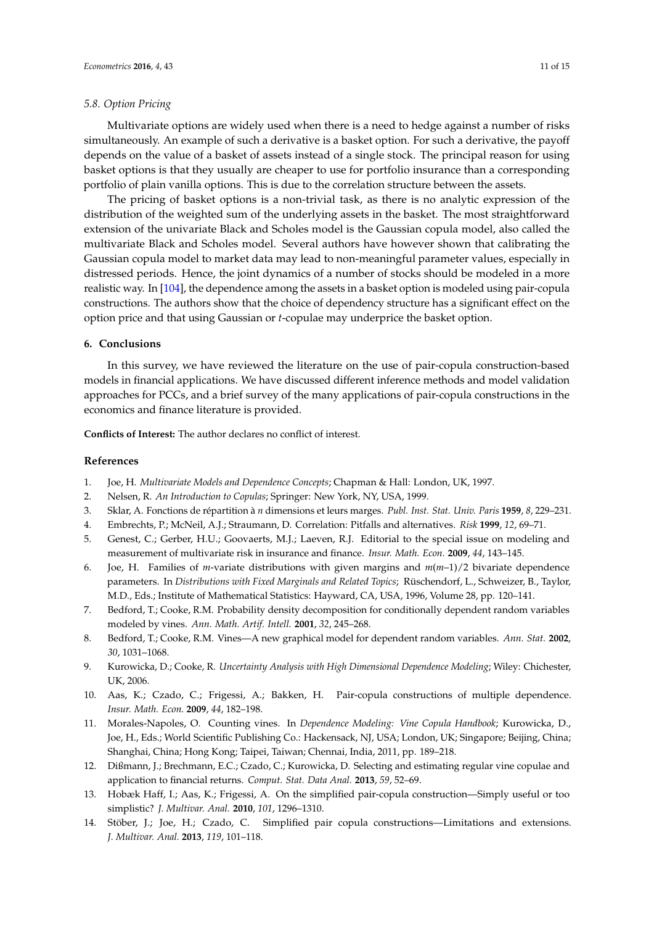## *5.8. Option Pricing*

Multivariate options are widely used when there is a need to hedge against a number of risks simultaneously. An example of such a derivative is a basket option. For such a derivative, the payoff depends on the value of a basket of assets instead of a single stock. The principal reason for using basket options is that they usually are cheaper to use for portfolio insurance than a corresponding portfolio of plain vanilla options. This is due to the correlation structure between the assets.

The pricing of basket options is a non-trivial task, as there is no analytic expression of the distribution of the weighted sum of the underlying assets in the basket. The most straightforward extension of the univariate Black and Scholes model is the Gaussian copula model, also called the multivariate Black and Scholes model. Several authors have however shown that calibrating the Gaussian copula model to market data may lead to non-meaningful parameter values, especially in distressed periods. Hence, the joint dynamics of a number of stocks should be modeled in a more realistic way. In [\[104\]](#page-14-7), the dependence among the assets in a basket option is modeled using pair-copula constructions. The authors show that the choice of dependency structure has a significant effect on the option price and that using Gaussian or *t*-copulae may underprice the basket option.

## **6. Conclusions**

In this survey, we have reviewed the literature on the use of pair-copula construction-based models in financial applications. We have discussed different inference methods and model validation approaches for PCCs, and a brief survey of the many applications of pair-copula constructions in the economics and finance literature is provided.

**Conflicts of Interest:** The author declares no conflict of interest.

## **References**

- <span id="page-10-0"></span>1. Joe, H. *Multivariate Models and Dependence Concepts*; Chapman & Hall: London, UK, 1997.
- <span id="page-10-1"></span>2. Nelsen, R. *An Introduction to Copulas*; Springer: New York, NY, USA, 1999.
- <span id="page-10-2"></span>3. Sklar, A. Fonctions de répartition à *n* dimensions et leurs marges. *Publ. Inst. Stat. Univ. Paris* **1959**, *8*, 229–231.
- <span id="page-10-3"></span>4. Embrechts, P.; McNeil, A.J.; Straumann, D. Correlation: Pitfalls and alternatives. *Risk* **1999**, *12*, 69–71.
- <span id="page-10-4"></span>5. Genest, C.; Gerber, H.U.; Goovaerts, M.J.; Laeven, R.J. Editorial to the special issue on modeling and measurement of multivariate risk in insurance and finance. *Insur. Math. Econ.* **2009**, *44*, 143–145.
- <span id="page-10-5"></span>6. Joe, H. Families of *m*-variate distributions with given margins and *m*(*m*–1)/2 bivariate dependence parameters. In *Distributions with Fixed Marginals and Related Topics*; Rüschendorf, L., Schweizer, B., Taylor, M.D., Eds.; Institute of Mathematical Statistics: Hayward, CA, USA, 1996, Volume 28, pp. 120–141.
- <span id="page-10-6"></span>7. Bedford, T.; Cooke, R.M. Probability density decomposition for conditionally dependent random variables modeled by vines. *Ann. Math. Artif. Intell.* **2001**, *32*, 245–268.
- <span id="page-10-7"></span>8. Bedford, T.; Cooke, R.M. Vines—A new graphical model for dependent random variables. *Ann. Stat.* **2002**, *30*, 1031–1068.
- <span id="page-10-8"></span>9. Kurowicka, D.; Cooke, R. *Uncertainty Analysis with High Dimensional Dependence Modeling*; Wiley: Chichester, UK, 2006.
- <span id="page-10-9"></span>10. Aas, K.; Czado, C.; Frigessi, A.; Bakken, H. Pair-copula constructions of multiple dependence. *Insur. Math. Econ.* **2009**, *44*, 182–198.
- <span id="page-10-10"></span>11. Morales-Napoles, O. Counting vines. In *Dependence Modeling: Vine Copula Handbook*; Kurowicka, D., Joe, H., Eds.; World Scientific Publishing Co.: Hackensack, NJ, USA; London, UK; Singapore; Beijing, China; Shanghai, China; Hong Kong; Taipei, Taiwan; Chennai, India, 2011, pp. 189–218.
- <span id="page-10-11"></span>12. Dißmann, J.; Brechmann, E.C.; Czado, C.; Kurowicka, D. Selecting and estimating regular vine copulae and application to financial returns. *Comput. Stat. Data Anal.* **2013**, *59*, 52–69.
- <span id="page-10-12"></span>13. Hobæk Haff, I.; Aas, K.; Frigessi, A. On the simplified pair-copula construction—Simply useful or too simplistic? *J. Multivar. Anal.* **2010**, *101*, 1296–1310.
- <span id="page-10-13"></span>14. Stöber, J.; Joe, H.; Czado, C. Simplified pair copula constructions—Limitations and extensions. *J. Multivar. Anal.* **2013**, *119*, 101–118.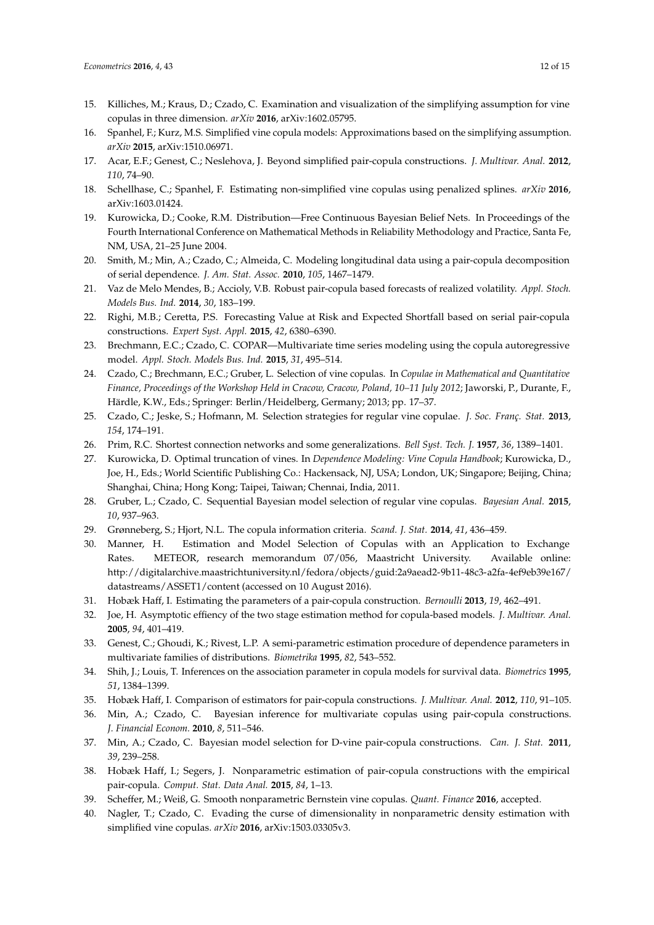- <span id="page-11-0"></span>15. Killiches, M.; Kraus, D.; Czado, C. Examination and visualization of the simplifying assumption for vine copulas in three dimension. *arXiv* **2016**, arXiv:1602.05795.
- <span id="page-11-1"></span>16. Spanhel, F.; Kurz, M.S. Simplified vine copula models: Approximations based on the simplifying assumption. *arXiv* **2015**, arXiv:1510.06971.
- <span id="page-11-2"></span>17. Acar, E.F.; Genest, C.; Neslehova, J. Beyond simplified pair-copula constructions. *J. Multivar. Anal.* **2012**, *110*, 74–90.
- <span id="page-11-3"></span>18. Schellhase, C.; Spanhel, F. Estimating non-simplified vine copulas using penalized splines. *arXiv* **2016**, arXiv:1603.01424.
- <span id="page-11-4"></span>19. Kurowicka, D.; Cooke, R.M. Distribution—Free Continuous Bayesian Belief Nets. In Proceedings of the Fourth International Conference on Mathematical Methods in Reliability Methodology and Practice, Santa Fe, NM, USA, 21–25 June 2004.
- <span id="page-11-5"></span>20. Smith, M.; Min, A.; Czado, C.; Almeida, C. Modeling longitudinal data using a pair-copula decomposition of serial dependence. *J. Am. Stat. Assoc.* **2010**, *105*, 1467–1479.
- <span id="page-11-6"></span>21. Vaz de Melo Mendes, B.; Accioly, V.B. Robust pair-copula based forecasts of realized volatility. *Appl. Stoch. Models Bus. Ind.* **2014**, *30*, 183–199.
- <span id="page-11-7"></span>22. Righi, M.B.; Ceretta, P.S. Forecasting Value at Risk and Expected Shortfall based on serial pair-copula constructions. *Expert Syst. Appl.* **2015**, *42*, 6380–6390.
- <span id="page-11-8"></span>23. Brechmann, E.C.; Czado, C. COPAR—Multivariate time series modeling using the copula autoregressive model. *Appl. Stoch. Models Bus. Ind.* **2015**, *31*, 495–514.
- <span id="page-11-9"></span>24. Czado, C.; Brechmann, E.C.; Gruber, L. Selection of vine copulas. In *Copulae in Mathematical and Quantitative Finance, Proceedings of the Workshop Held in Cracow, Cracow, Poland, 10–11 July 2012*; Jaworski, P., Durante, F., Härdle, K.W., Eds.; Springer: Berlin/Heidelberg, Germany; 2013; pp. 17–37.
- <span id="page-11-10"></span>25. Czado, C.; Jeske, S.; Hofmann, M. Selection strategies for regular vine copulae. *J. Soc. Franç. Stat.* **2013**, *154*, 174–191.
- <span id="page-11-11"></span>26. Prim, R.C. Shortest connection networks and some generalizations. *Bell Syst. Tech. J.* **1957**, *36*, 1389–1401.
- <span id="page-11-12"></span>27. Kurowicka, D. Optimal truncation of vines. In *Dependence Modeling: Vine Copula Handbook*; Kurowicka, D., Joe, H., Eds.; World Scientific Publishing Co.: Hackensack, NJ, USA; London, UK; Singapore; Beijing, China; Shanghai, China; Hong Kong; Taipei, Taiwan; Chennai, India, 2011.
- <span id="page-11-13"></span>28. Gruber, L.; Czado, C. Sequential Bayesian model selection of regular vine copulas. *Bayesian Anal.* **2015**, *10*, 937–963.
- <span id="page-11-14"></span>29. Grønneberg, S.; Hjort, N.L. The copula information criteria. *Scand. J. Stat.* **2014**, *41*, 436–459.
- <span id="page-11-15"></span>30. Manner, H. Estimation and Model Selection of Copulas with an Application to Exchange Rates. METEOR, research memorandum 07/056, Maastricht University. Available online: [http://digitalarchive.maastrichtuniversity.nl/fedora/objects/guid:2a9aead2-9b11-48c3-a2fa-4ef9eb39e167/](http://digitalarchive.maastrichtuniversity.nl/fedora/objects/guid:2a9aead2-9b11-48c3-a2fa-4ef9eb39e167/datastreams/ASSET1/content) [datastreams/ASSET1/content](http://digitalarchive.maastrichtuniversity.nl/fedora/objects/guid:2a9aead2-9b11-48c3-a2fa-4ef9eb39e167/datastreams/ASSET1/content) (accessed on 10 August 2016).
- <span id="page-11-16"></span>31. Hobæk Haff, I. Estimating the parameters of a pair-copula construction. *Bernoulli* **2013**, *19*, 462–491.
- <span id="page-11-17"></span>32. Joe, H. Asymptotic effiency of the two stage estimation method for copula-based models. *J. Multivar. Anal.* **2005**, *94*, 401–419.
- <span id="page-11-18"></span>33. Genest, C.; Ghoudi, K.; Rivest, L.P. A semi-parametric estimation procedure of dependence parameters in multivariate families of distributions. *Biometrika* **1995**, *82*, 543–552.
- <span id="page-11-19"></span>34. Shih, J.; Louis, T. Inferences on the association parameter in copula models for survival data. *Biometrics* **1995**, *51*, 1384–1399.
- <span id="page-11-20"></span>35. Hobæk Haff, I. Comparison of estimators for pair-copula constructions. *J. Multivar. Anal.* **2012**, *110*, 91–105.
- <span id="page-11-21"></span>36. Min, A.; Czado, C. Bayesian inference for multivariate copulas using pair-copula constructions. *J. Financial Econom.* **2010**, *8*, 511–546.
- <span id="page-11-22"></span>37. Min, A.; Czado, C. Bayesian model selection for D-vine pair-copula constructions. *Can. J. Stat.* **2011**, *39*, 239–258.
- <span id="page-11-23"></span>38. Hobæk Haff, I.; Segers, J. Nonparametric estimation of pair-copula constructions with the empirical pair-copula. *Comput. Stat. Data Anal.* **2015**, *84*, 1–13.
- 39. Scheffer, M.; Weiß, G. Smooth nonparametric Bernstein vine copulas. *Quant. Finance* **2016**, accepted.
- <span id="page-11-24"></span>40. Nagler, T.; Czado, C. Evading the curse of dimensionality in nonparametric density estimation with simplified vine copulas. *arXiv* **2016**, arXiv:1503.03305v3.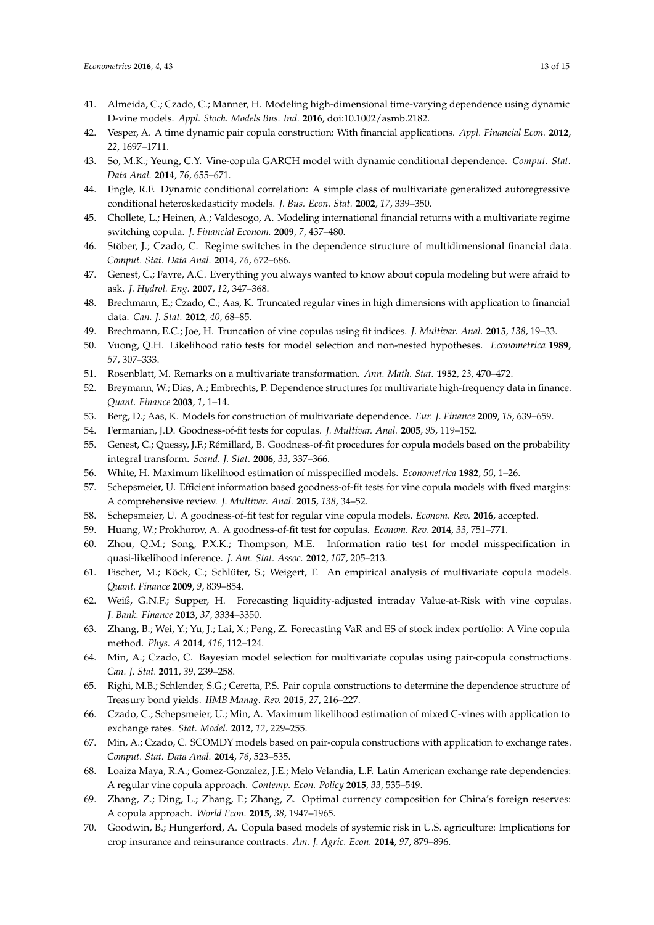- <span id="page-12-0"></span>41. Almeida, C.; Czado, C.; Manner, H. Modeling high-dimensional time-varying dependence using dynamic D-vine models. *Appl. Stoch. Models Bus. Ind.* **2016**, doi:10.1002/asmb.2182.
- <span id="page-12-1"></span>42. Vesper, A. A time dynamic pair copula construction: With financial applications. *Appl. Financial Econ.* **2012**, *22*, 1697–1711.
- <span id="page-12-2"></span>43. So, M.K.; Yeung, C.Y. Vine-copula GARCH model with dynamic conditional dependence. *Comput. Stat. Data Anal.* **2014**, *76*, 655–671.
- <span id="page-12-3"></span>44. Engle, R.F. Dynamic conditional correlation: A simple class of multivariate generalized autoregressive conditional heteroskedasticity models. *J. Bus. Econ. Stat.* **2002**, *17*, 339–350.
- <span id="page-12-4"></span>45. Chollete, L.; Heinen, A.; Valdesogo, A. Modeling international financial returns with a multivariate regime switching copula. *J. Financial Econom.* **2009**, *7*, 437–480.
- <span id="page-12-5"></span>46. Stöber, J.; Czado, C. Regime switches in the dependence structure of multidimensional financial data. *Comput. Stat. Data Anal.* **2014**, *76*, 672–686.
- <span id="page-12-6"></span>47. Genest, C.; Favre, A.C. Everything you always wanted to know about copula modeling but were afraid to ask. *J. Hydrol. Eng.* **2007**, *12*, 347–368.
- <span id="page-12-7"></span>48. Brechmann, E.; Czado, C.; Aas, K. Truncated regular vines in high dimensions with application to financial data. *Can. J. Stat.* **2012**, *40*, 68–85.
- <span id="page-12-8"></span>49. Brechmann, E.C.; Joe, H. Truncation of vine copulas using fit indices. *J. Multivar. Anal.* **2015**, *138*, 19–33.
- <span id="page-12-9"></span>50. Vuong, Q.H. Likelihood ratio tests for model selection and non-nested hypotheses. *Econometrica* **1989**, *57*, 307–333.
- <span id="page-12-11"></span><span id="page-12-10"></span>51. Rosenblatt, M. Remarks on a multivariate transformation. *Ann. Math. Stat.* **1952**, *23*, 470–472.
- 52. Breymann, W.; Dias, A.; Embrechts, P. Dependence structures for multivariate high-frequency data in finance. *Quant. Finance* **2003**, *1*, 1–14.
- <span id="page-12-12"></span>53. Berg, D.; Aas, K. Models for construction of multivariate dependence. *Eur. J. Finance* **2009**, *15*, 639–659.
- <span id="page-12-13"></span>54. Fermanian, J.D. Goodness-of-fit tests for copulas. *J. Multivar. Anal.* **2005**, *95*, 119–152.
- <span id="page-12-14"></span>55. Genest, C.; Quessy, J.F.; Rémillard, B. Goodness-of-fit procedures for copula models based on the probability integral transform. *Scand. J. Stat.* **2006**, *33*, 337–366.
- <span id="page-12-15"></span>56. White, H. Maximum likelihood estimation of misspecified models. *Econometrica* **1982**, *50*, 1–26.
- <span id="page-12-16"></span>57. Schepsmeier, U. Efficient information based goodness-of-fit tests for vine copula models with fixed margins: A comprehensive review. *J. Multivar. Anal.* **2015**, *138*, 34–52.
- <span id="page-12-17"></span>58. Schepsmeier, U. A goodness-of-fit test for regular vine copula models. *Econom. Rev.* **2016**, accepted.
- <span id="page-12-19"></span><span id="page-12-18"></span>59. Huang, W.; Prokhorov, A. A goodness-of-fit test for copulas. *Econom. Rev.* **2014**, *33*, 751–771.
- 60. Zhou, Q.M.; Song, P.X.K.; Thompson, M.E. Information ratio test for model misspecification in quasi-likelihood inference. *J. Am. Stat. Assoc.* **2012**, *107*, 205–213.
- <span id="page-12-20"></span>61. Fischer, M.; Köck, C.; Schlüter, S.; Weigert, F. An empirical analysis of multivariate copula models. *Quant. Finance* **2009**, *9*, 839–854.
- <span id="page-12-27"></span>62. Weiß, G.N.F.; Supper, H. Forecasting liquidity-adjusted intraday Value-at-Risk with vine copulas. *J. Bank. Finance* **2013**, *37*, 3334–3350.
- <span id="page-12-21"></span>63. Zhang, B.; Wei, Y.; Yu, J.; Lai, X.; Peng, Z. Forecasting VaR and ES of stock index portfolio: A Vine copula method. *Phys. A* **2014**, *416*, 112–124.
- <span id="page-12-22"></span>64. Min, A.; Czado, C. Bayesian model selection for multivariate copulas using pair-copula constructions. *Can. J. Stat.* **2011**, *39*, 239–258.
- <span id="page-12-23"></span>65. Righi, M.B.; Schlender, S.G.; Ceretta, P.S. Pair copula constructions to determine the dependence structure of Treasury bond yields. *IIMB Manag. Rev.* **2015**, *27*, 216–227.
- <span id="page-12-24"></span>66. Czado, C.; Schepsmeier, U.; Min, A. Maximum likelihood estimation of mixed C-vines with application to exchange rates. *Stat. Model.* **2012**, *12*, 229–255.
- 67. Min, A.; Czado, C. SCOMDY models based on pair-copula constructions with application to exchange rates. *Comput. Stat. Data Anal.* **2014**, *76*, 523–535.
- 68. Loaiza Maya, R.A.; Gomez-Gonzalez, J.E.; Melo Velandia, L.F. Latin American exchange rate dependencies: A regular vine copula approach. *Contemp. Econ. Policy* **2015**, *33*, 535–549.
- <span id="page-12-25"></span>69. Zhang, Z.; Ding, L.; Zhang, F.; Zhang, Z. Optimal currency composition for China's foreign reserves: A copula approach. *World Econ.* **2015**, *38*, 1947–1965.
- <span id="page-12-26"></span>70. Goodwin, B.; Hungerford, A. Copula based models of systemic risk in U.S. agriculture: Implications for crop insurance and reinsurance contracts. *Am. J. Agric. Econ.* **2014**, *97*, 879–896.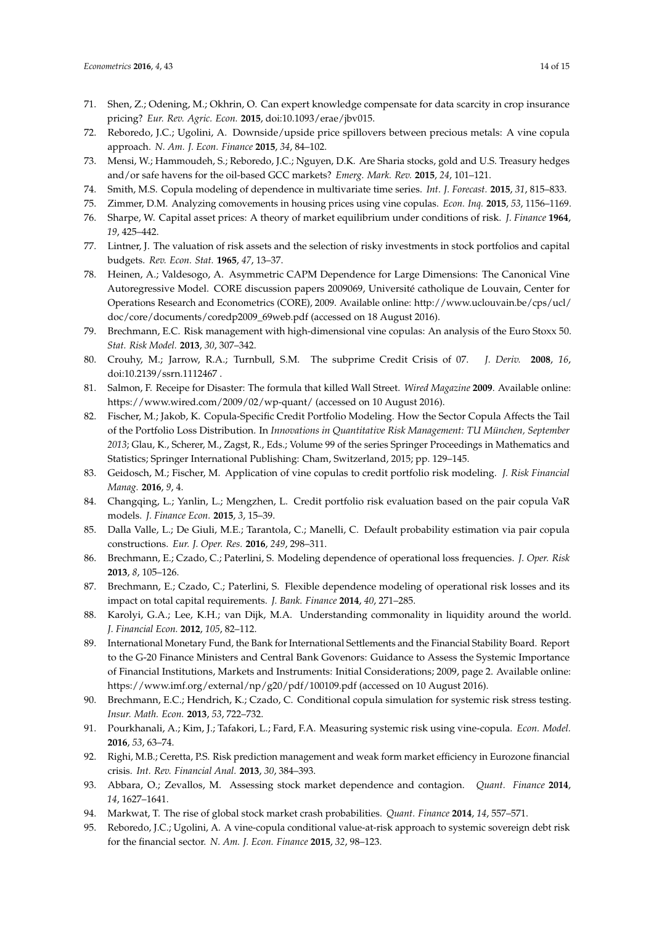- 71. Shen, Z.; Odening, M.; Okhrin, O. Can expert knowledge compensate for data scarcity in crop insurance pricing? *Eur. Rev. Agric. Econ.* **2015**, doi:10.1093/erae/jbv015.
- 72. Reboredo, J.C.; Ugolini, A. Downside/upside price spillovers between precious metals: A vine copula approach. *N. Am. J. Econ. Finance* **2015**, *34*, 84–102.
- 73. Mensi, W.; Hammoudeh, S.; Reboredo, J.C.; Nguyen, D.K. Are Sharia stocks, gold and U.S. Treasury hedges and/or safe havens for the oil-based GCC markets? *Emerg. Mark. Rev.* **2015**, *24*, 101–121.
- <span id="page-13-0"></span>74. Smith, M.S. Copula modeling of dependence in multivariate time series. *Int. J. Forecast.* **2015**, *31*, 815–833.
- <span id="page-13-1"></span>75. Zimmer, D.M. Analyzing comovements in housing prices using vine copulas. *Econ. Inq.* **2015**, *53*, 1156–1169.
- <span id="page-13-2"></span>76. Sharpe, W. Capital asset prices: A theory of market equilibrium under conditions of risk. *J. Finance* **1964**, *19*, 425–442.
- <span id="page-13-3"></span>77. Lintner, J. The valuation of risk assets and the selection of risky investments in stock portfolios and capital budgets. *Rev. Econ. Stat.* **1965**, *47*, 13–37.
- <span id="page-13-4"></span>78. Heinen, A.; Valdesogo, A. Asymmetric CAPM Dependence for Large Dimensions: The Canonical Vine Autoregressive Model. CORE discussion papers 2009069, Université catholique de Louvain, Center for Operations Research and Econometrics (CORE), 2009. Available online: [http://www.uclouvain.be/cps/ucl/](http://www.uclouvain.be/cps/ucl/doc/core/documents/coredp2009_69web.pdf) [doc/core/documents/coredp2009\\_69web.pdf](http://www.uclouvain.be/cps/ucl/doc/core/documents/coredp2009_69web.pdf) (accessed on 18 August 2016).
- <span id="page-13-5"></span>79. Brechmann, E.C. Risk management with high-dimensional vine copulas: An analysis of the Euro Stoxx 50. *Stat. Risk Model.* **2013**, *30*, 307–342.
- <span id="page-13-6"></span>80. Crouhy, M.; Jarrow, R.A.; Turnbull, S.M. The subprime Credit Crisis of 07. *J. Deriv.* **2008**, *16*, doi:10.2139/ssrn.1112467 .
- <span id="page-13-7"></span>81. Salmon, F. Receipe for Disaster: The formula that killed Wall Street. *Wired Magazine* **2009**. Available online: https://www.wired.com/2009/02/wp-quant/ (accessed on 10 August 2016).
- <span id="page-13-8"></span>82. Fischer, M.; Jakob, K. Copula-Specific Credit Portfolio Modeling. How the Sector Copula Affects the Tail of the Portfolio Loss Distribution. In *Innovations in Quantitative Risk Management: TU München, September 2013*; Glau, K., Scherer, M., Zagst, R., Eds.; Volume 99 of the series Springer Proceedings in Mathematics and Statistics; Springer International Publishing: Cham, Switzerland, 2015; pp. 129–145.
- 83. Geidosch, M.; Fischer, M. Application of vine copulas to credit portfolio risk modeling. *J. Risk Financial Manag.* **2016**, *9*, 4.
- <span id="page-13-9"></span>84. Changqing, L.; Yanlin, L.; Mengzhen, L. Credit portfolio risk evaluation based on the pair copula VaR models. *J. Finance Econ.* **2015**, *3*, 15–39.
- <span id="page-13-10"></span>85. Dalla Valle, L.; De Giuli, M.E.; Tarantola, C.; Manelli, C. Default probability estimation via pair copula constructions. *Eur. J. Oper. Res.* **2016**, *249*, 298–311.
- <span id="page-13-11"></span>86. Brechmann, E.; Czado, C.; Paterlini, S. Modeling dependence of operational loss frequencies. *J. Oper. Risk* **2013**, *8*, 105–126.
- <span id="page-13-12"></span>87. Brechmann, E.; Czado, C.; Paterlini, S. Flexible dependence modeling of operational risk losses and its impact on total capital requirements. *J. Bank. Finance* **2014**, *40*, 271–285.
- <span id="page-13-13"></span>88. Karolyi, G.A.; Lee, K.H.; van Dijk, M.A. Understanding commonality in liquidity around the world. *J. Financial Econ.* **2012**, *105*, 82–112.
- <span id="page-13-14"></span>89. International Monetary Fund, the Bank for International Settlements and the Financial Stability Board. Report to the G-20 Finance Ministers and Central Bank Govenors: Guidance to Assess the Systemic Importance of Financial Institutions, Markets and Instruments: Initial Considerations; 2009, page 2. Available online: <https://www.imf.org/external/np/g20/pdf/100109.pdf> (accessed on 10 August 2016).
- <span id="page-13-15"></span>90. Brechmann, E.C.; Hendrich, K.; Czado, C. Conditional copula simulation for systemic risk stress testing. *Insur. Math. Econ.* **2013**, *53*, 722–732.
- <span id="page-13-16"></span>91. Pourkhanali, A.; Kim, J.; Tafakori, L.; Fard, F.A. Measuring systemic risk using vine-copula. *Econ. Model.* **2016**, *53*, 63–74.
- <span id="page-13-17"></span>92. Righi, M.B.; Ceretta, P.S. Risk prediction management and weak form market efficiency in Eurozone financial crisis. *Int. Rev. Financial Anal.* **2013**, *30*, 384–393.
- <span id="page-13-18"></span>93. Abbara, O.; Zevallos, M. Assessing stock market dependence and contagion. *Quant. Finance* **2014**, *14*, 1627–1641.
- <span id="page-13-19"></span>94. Markwat, T. The rise of global stock market crash probabilities. *Quant. Finance* **2014**, *14*, 557–571.
- <span id="page-13-20"></span>95. Reboredo, J.C.; Ugolini, A. A vine-copula conditional value-at-risk approach to systemic sovereign debt risk for the financial sector. *N. Am. J. Econ. Finance* **2015**, *32*, 98–123.